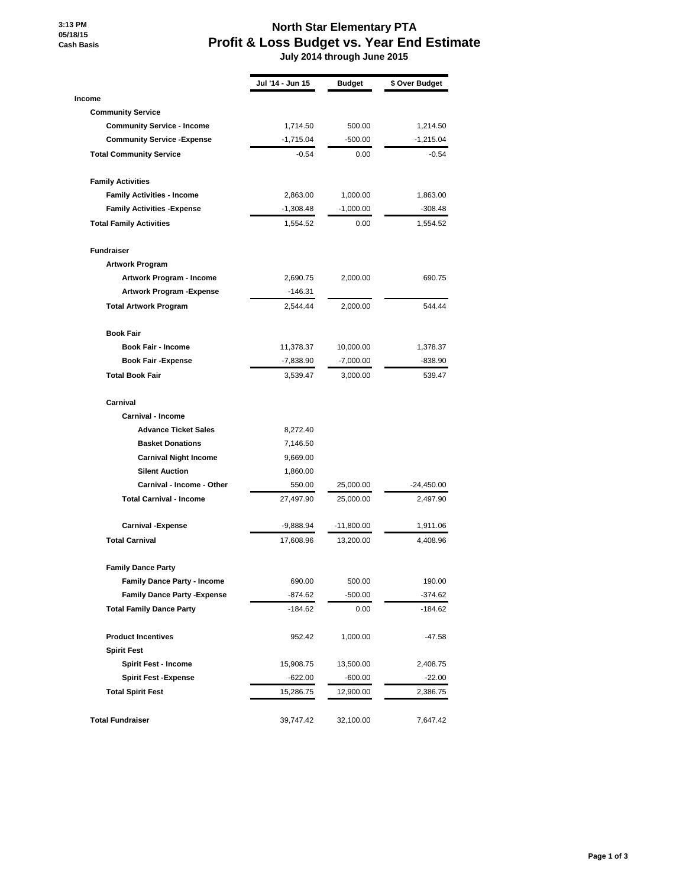**3:13 PM 05/18/15 Cash Basis**

## **North Star Elementary PTA Profit & Loss Budget vs. Year End Estimate**

 **July 2014 through June 2015**

|                                     | Jul '14 - Jun 15 | Budget       | \$ Over Budget |
|-------------------------------------|------------------|--------------|----------------|
| Income                              |                  |              |                |
| <b>Community Service</b>            |                  |              |                |
| <b>Community Service - Income</b>   | 1,714.50         | 500.00       | 1,214.50       |
| <b>Community Service - Expense</b>  | $-1,715.04$      | $-500.00$    | $-1,215.04$    |
| <b>Total Community Service</b>      | $-0.54$          | 0.00         | $-0.54$        |
| <b>Family Activities</b>            |                  |              |                |
| <b>Family Activities - Income</b>   | 2,863.00         | 1,000.00     | 1,863.00       |
| <b>Family Activities - Expense</b>  | $-1,308.48$      | $-1,000.00$  | $-308.48$      |
| <b>Total Family Activities</b>      | 1,554.52         | 0.00         | 1,554.52       |
| <b>Fundraiser</b>                   |                  |              |                |
| <b>Artwork Program</b>              |                  |              |                |
| Artwork Program - Income            | 2,690.75         | 2,000.00     | 690.75         |
| Artwork Program -Expense            | $-146.31$        |              |                |
| <b>Total Artwork Program</b>        | 2,544.44         | 2,000.00     | 544.44         |
| <b>Book Fair</b>                    |                  |              |                |
| <b>Book Fair - Income</b>           | 11,378.37        | 10,000.00    | 1,378.37       |
| <b>Book Fair - Expense</b>          | -7,838.90        | $-7,000.00$  | -838.90        |
| <b>Total Book Fair</b>              | 3,539.47         | 3,000.00     | 539.47         |
| Carnival                            |                  |              |                |
| Carnival - Income                   |                  |              |                |
| <b>Advance Ticket Sales</b>         | 8,272.40         |              |                |
| <b>Basket Donations</b>             | 7,146.50         |              |                |
| <b>Carnival Night Income</b>        | 9,669.00         |              |                |
| <b>Silent Auction</b>               | 1,860.00         |              |                |
| Carnival - Income - Other           | 550.00           | 25,000.00    | $-24,450.00$   |
| <b>Total Carnival - Income</b>      | 27,497.90        | 25,000.00    | 2,497.90       |
| <b>Carnival -Expense</b>            | -9,888.94        | $-11,800.00$ | 1,911.06       |
| <b>Total Carnival</b>               | 17,608.96        | 13,200.00    | 4,408.96       |
| <b>Family Dance Party</b>           |                  |              |                |
| <b>Family Dance Party - Income</b>  | 690.00           | 500.00       | 190.00         |
| <b>Family Dance Party - Expense</b> | -874.62          | -500.00      | $-374.62$      |
| <b>Total Family Dance Party</b>     | -184.62          | 0.00         | $-184.62$      |
| <b>Product Incentives</b>           | 952.42           | 1,000.00     | -47.58         |
| <b>Spirit Fest</b>                  |                  |              |                |
| <b>Spirit Fest - Income</b>         | 15,908.75        | 13,500.00    | 2,408.75       |
| <b>Spirit Fest - Expense</b>        | $-622.00$        | $-600.00$    | $-22.00$       |
| <b>Total Spirit Fest</b>            | 15,286.75        | 12,900.00    | 2,386.75       |
| <b>Total Fundraiser</b>             | 39,747.42        | 32,100.00    | 7,647.42       |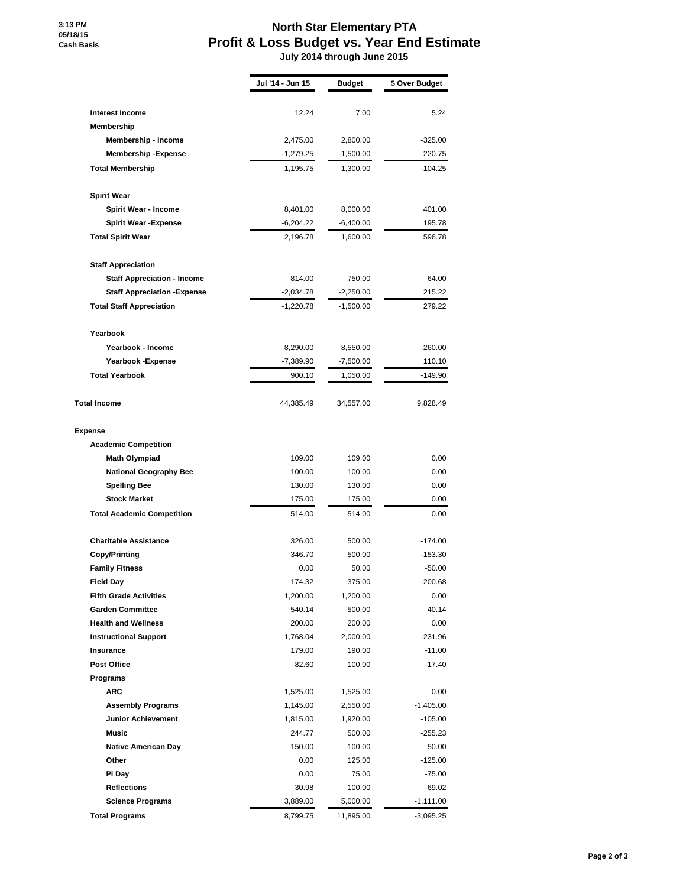**3:13 PM 05/18/15 Cash Basis**

## **North Star Elementary PTA Profit & Loss Budget vs. Year End Estimate**

 **July 2014 through June 2015**

|                                     | Jul '14 - Jun 15 | <b>Budget</b>           | \$ Over Budget |
|-------------------------------------|------------------|-------------------------|----------------|
|                                     | 12.24            | 7.00                    |                |
| <b>Interest Income</b>              |                  |                         | 5.24           |
| Membership                          |                  |                         |                |
| Membership - Income                 | 2,475.00         | 2,800.00<br>$-1,500.00$ | $-325.00$      |
| <b>Membership-Expense</b>           | $-1,279.25$      |                         | 220.75         |
| <b>Total Membership</b>             | 1,195.75         | 1,300.00                | $-104.25$      |
| <b>Spirit Wear</b>                  |                  |                         |                |
| Spirit Wear - Income                | 8,401.00         | 8,000.00                | 401.00         |
| <b>Spirit Wear -Expense</b>         | $-6,204.22$      | $-6,400.00$             | 195.78         |
| <b>Total Spirit Wear</b>            | 2,196.78         | 1,600.00                | 596.78         |
| <b>Staff Appreciation</b>           |                  |                         |                |
| <b>Staff Appreciation - Income</b>  | 814.00           | 750.00                  | 64.00          |
| <b>Staff Appreciation - Expense</b> | $-2,034.78$      | $-2,250.00$             | 215.22         |
| <b>Total Staff Appreciation</b>     | $-1,220.78$      | $-1,500.00$             | 279.22         |
| Yearbook                            |                  |                         |                |
| Yearbook - Income                   | 8,290.00         | 8,550.00                | $-260.00$      |
| Yearbook - Expense                  | $-7,389.90$      | $-7,500.00$             | 110.10         |
| <b>Total Yearbook</b>               | 900.10           | 1,050.00                | $-149.90$      |
|                                     |                  |                         |                |
| <b>Total Income</b>                 | 44,385.49        | 34,557.00               | 9,828.49       |
| <b>Expense</b>                      |                  |                         |                |
| <b>Academic Competition</b>         |                  |                         |                |
| <b>Math Olympiad</b>                | 109.00           | 109.00                  | 0.00           |
| <b>National Geography Bee</b>       | 100.00           | 100.00                  | 0.00           |
| <b>Spelling Bee</b>                 | 130.00           | 130.00                  | 0.00           |
| <b>Stock Market</b>                 | 175.00           | 175.00                  | 0.00           |
| <b>Total Academic Competition</b>   | 514.00           | 514.00                  | 0.00           |
| <b>Charitable Assistance</b>        | 326.00           | 500.00                  | $-174.00$      |
| <b>Copy/Printing</b>                | 346.70           | 500.00                  | $-153.30$      |
| <b>Family Fitness</b>               | 0.00             | 50.00                   | $-50.00$       |
| <b>Field Day</b>                    | 174.32           | 375.00                  | $-200.68$      |
| <b>Fifth Grade Activities</b>       | 1,200.00         | 1,200.00                | 0.00           |
| <b>Garden Committee</b>             | 540.14           | 500.00                  | 40.14          |
| <b>Health and Wellness</b>          | 200.00           | 200.00                  | 0.00           |
| <b>Instructional Support</b>        | 1,768.04         | 2,000.00                | $-231.96$      |
| Insurance                           | 179.00           | 190.00                  | $-11.00$       |
| <b>Post Office</b>                  | 82.60            | 100.00                  | $-17.40$       |
| Programs                            |                  |                         |                |
| <b>ARC</b>                          | 1,525.00         | 1,525.00                | 0.00           |
| <b>Assembly Programs</b>            | 1,145.00         | 2,550.00                | $-1,405.00$    |
| <b>Junior Achievement</b>           | 1,815.00         | 1,920.00                | $-105.00$      |
| <b>Music</b>                        | 244.77           | 500.00                  | $-255.23$      |
| <b>Native American Day</b>          | 150.00           | 100.00                  | 50.00          |
| Other                               | 0.00             | 125.00                  | $-125.00$      |
| Pi Day                              | 0.00             | 75.00                   | $-75.00$       |
| <b>Reflections</b>                  | 30.98            | 100.00                  | $-69.02$       |
| <b>Science Programs</b>             | 3,889.00         | 5,000.00                | $-1,111.00$    |
| <b>Total Programs</b>               | 8,799.75         | 11,895.00               | $-3,095.25$    |